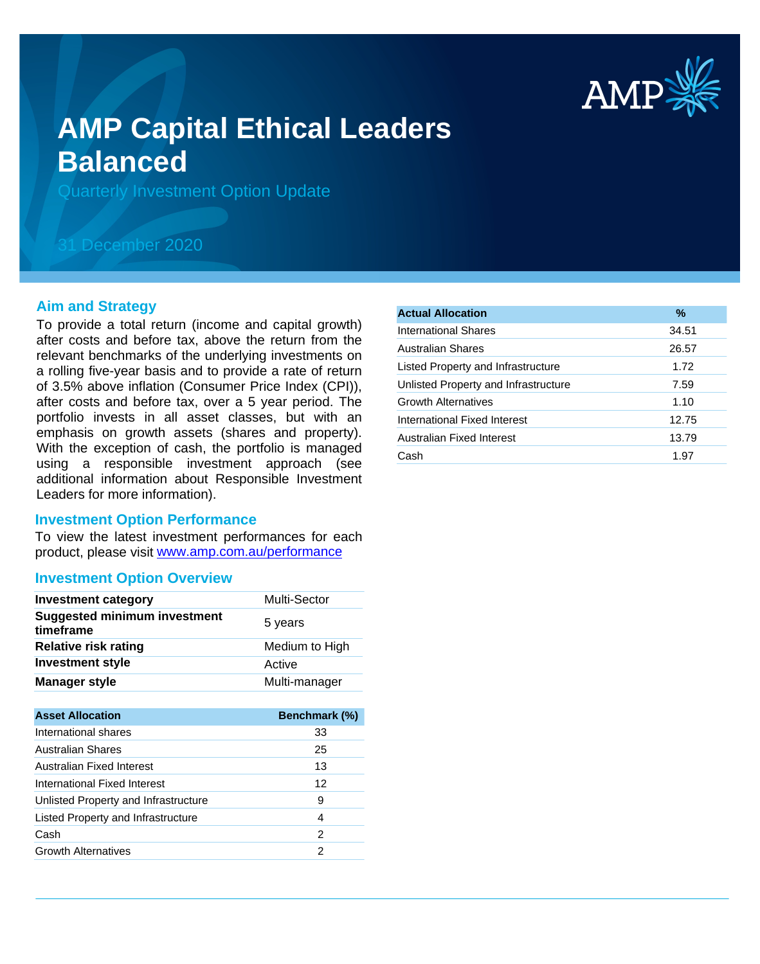

# **AMP Capital Ethical Leaders Balanced**

Quarterly Investment Option Update

## 31 December 2020

#### **Aim and Strategy**

To provide a total return (income and capital growth) after costs and before tax, above the return from the relevant benchmarks of the underlying investments on a rolling five-year basis and to provide a rate of return of 3.5% above inflation (Consumer Price Index (CPI)), after costs and before tax, over a 5 year period. The portfolio invests in all asset classes, but with an emphasis on growth assets (shares and property). With the exception of cash, the portfolio is managed using a responsible investment approach (see additional information about Responsible Investment Leaders for more information).

#### **Investment Option Performance**

product, please visit www.amp.com.au/performance To view the latest investment performances for each

## **Investment Option Overview**

| <b>Investment category</b>                       | Multi-Sector   |
|--------------------------------------------------|----------------|
| <b>Suggested minimum investment</b><br>timeframe | 5 years        |
| <b>Relative risk rating</b>                      | Medium to High |
| <b>Investment style</b>                          | Active         |
| <b>Manager style</b>                             | Multi-manager  |

| <b>Asset Allocation</b>              | Benchmark (%) |
|--------------------------------------|---------------|
| International shares                 | 33            |
| Australian Shares                    | 25            |
| Australian Fixed Interest            | 13            |
| International Fixed Interest         | 12            |
| Unlisted Property and Infrastructure | 9             |
| Listed Property and Infrastructure   | 4             |
| Cash                                 | 2             |
| <b>Growth Alternatives</b>           | 2             |

| <b>Actual Allocation</b>             | $\frac{9}{6}$ |
|--------------------------------------|---------------|
| International Shares                 | 34.51         |
| <b>Australian Shares</b>             | 26.57         |
| Listed Property and Infrastructure   | 1.72          |
| Unlisted Property and Infrastructure | 7.59          |
| <b>Growth Alternatives</b>           | 1.10          |
| International Fixed Interest         | 12.75         |
| Australian Fixed Interest            | 13.79         |
| Cash                                 | 1.97          |
|                                      |               |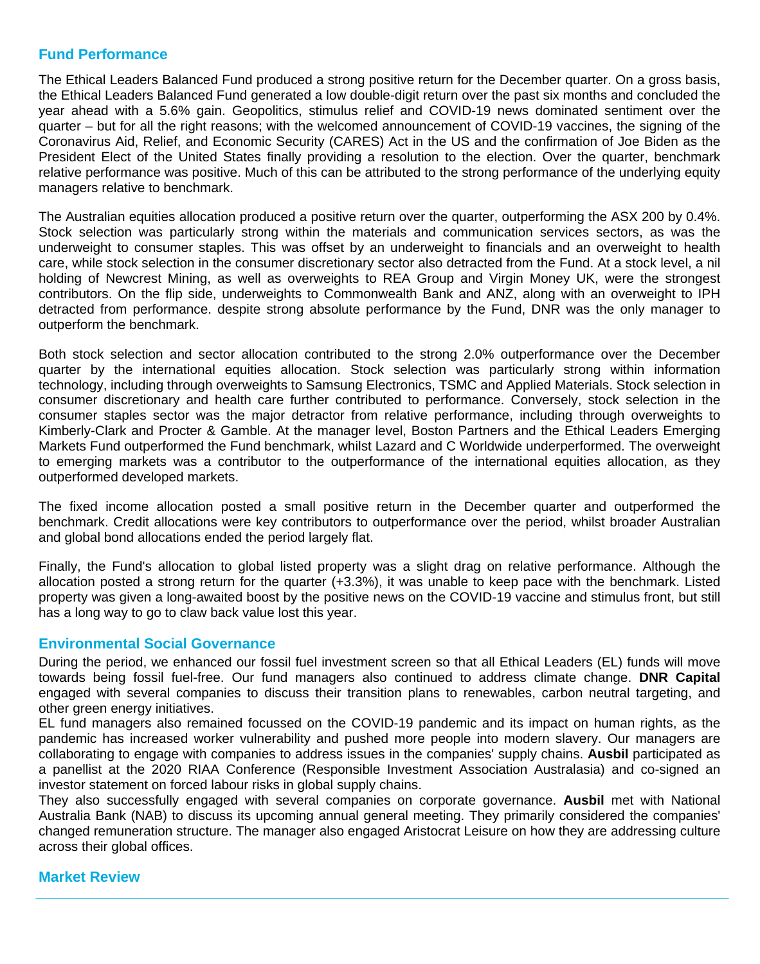## **Fund Performance**

The Ethical Leaders Balanced Fund produced a strong positive return for the December quarter. On a gross basis, the Ethical Leaders Balanced Fund generated a low double-digit return over the past six months and concluded the year ahead with a 5.6% gain. Geopolitics, stimulus relief and COVID-19 news dominated sentiment over the quarter – but for all the right reasons; with the welcomed announcement of COVID-19 vaccines, the signing of the Coronavirus Aid, Relief, and Economic Security (CARES) Act in the US and the confirmation of Joe Biden as the President Elect of the United States finally providing a resolution to the election. Over the quarter, benchmark relative performance was positive. Much of this can be attributed to the strong performance of the underlying equity managers relative to benchmark.

The Australian equities allocation produced a positive return over the quarter, outperforming the ASX 200 by 0.4%. Stock selection was particularly strong within the materials and communication services sectors, as was the underweight to consumer staples. This was offset by an underweight to financials and an overweight to health care, while stock selection in the consumer discretionary sector also detracted from the Fund. At a stock level, a nil holding of Newcrest Mining, as well as overweights to REA Group and Virgin Money UK, were the strongest contributors. On the flip side, underweights to Commonwealth Bank and ANZ, along with an overweight to IPH detracted from performance. despite strong absolute performance by the Fund, DNR was the only manager to outperform the benchmark.

Both stock selection and sector allocation contributed to the strong 2.0% outperformance over the December quarter by the international equities allocation. Stock selection was particularly strong within information technology, including through overweights to Samsung Electronics, TSMC and Applied Materials. Stock selection in consumer discretionary and health care further contributed to performance. Conversely, stock selection in the consumer staples sector was the major detractor from relative performance, including through overweights to Kimberly-Clark and Procter & Gamble. At the manager level, Boston Partners and the Ethical Leaders Emerging Markets Fund outperformed the Fund benchmark, whilst Lazard and C Worldwide underperformed. The overweight to emerging markets was a contributor to the outperformance of the international equities allocation, as they outperformed developed markets.

The fixed income allocation posted a small positive return in the December quarter and outperformed the benchmark. Credit allocations were key contributors to outperformance over the period, whilst broader Australian and global bond allocations ended the period largely flat.

Finally, the Fund's allocation to global listed property was a slight drag on relative performance. Although the allocation posted a strong return for the quarter (+3.3%), it was unable to keep pace with the benchmark. Listed property was given a long-awaited boost by the positive news on the COVID-19 vaccine and stimulus front, but still has a long way to go to claw back value lost this year.

## **Environmental Social Governance**

During the period, we enhanced our fossil fuel investment screen so that all Ethical Leaders (EL) funds will move towards being fossil fuel-free. Our fund managers also continued to address climate change. **DNR Capital** engaged with several companies to discuss their transition plans to renewables, carbon neutral targeting, and other green energy initiatives.

EL fund managers also remained focussed on the COVID-19 pandemic and its impact on human rights, as the pandemic has increased worker vulnerability and pushed more people into modern slavery. Our managers are collaborating to engage with companies to address issues in the companies' supply chains. **Ausbil** participated as a panellist at the 2020 RIAA Conference (Responsible Investment Association Australasia) and co-signed an investor statement on forced labour risks in global supply chains.

They also successfully engaged with several companies on corporate governance. **Ausbil** met with National Australia Bank (NAB) to discuss its upcoming annual general meeting. They primarily considered the companies' changed remuneration structure. The manager also engaged Aristocrat Leisure on how they are addressing culture across their global offices.

International shares produced a very strong performance over the December  $\alpha$  as  $\alpha$ 

## **Market Review**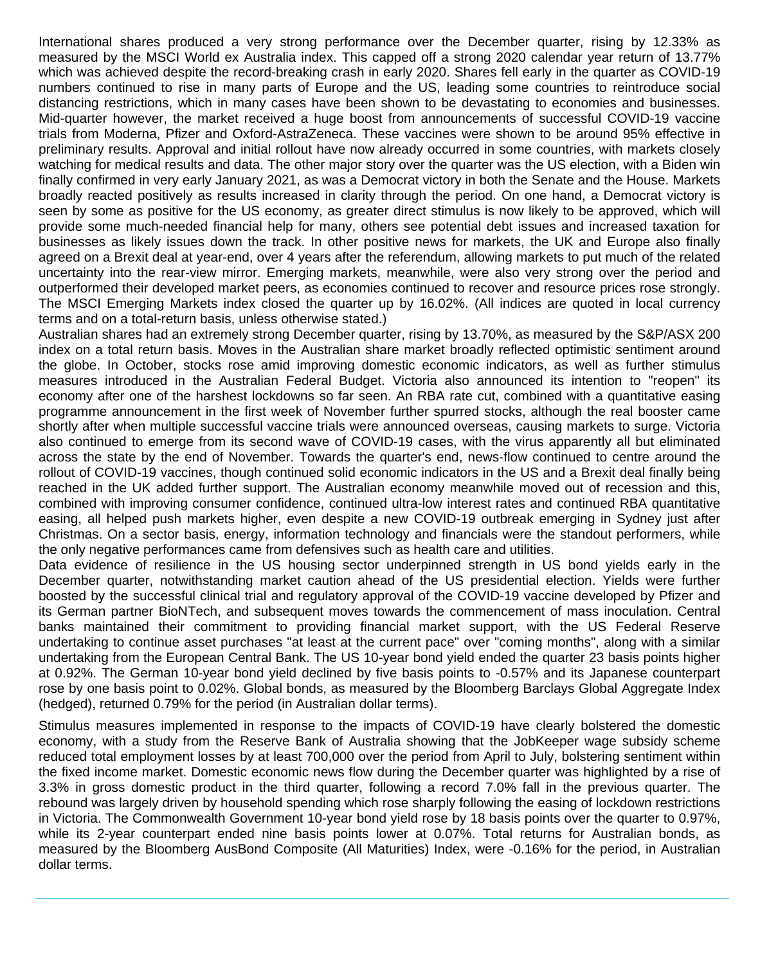International shares produced a very strong performance over the December quarter, rising by 12.33% as measured by the MSCI World ex Australia index. This capped off a strong 2020 calendar year return of 13.77% which was achieved despite the record-breaking crash in early 2020. Shares fell early in the quarter as COVID-19 numbers continued to rise in many parts of Europe and the US, leading some countries to reintroduce social distancing restrictions, which in many cases have been shown to be devastating to economies and businesses. Mid-quarter however, the market received a huge boost from announcements of successful COVID-19 vaccine trials from Moderna, Pfizer and Oxford-AstraZeneca. These vaccines were shown to be around 95% effective in preliminary results. Approval and initial rollout have now already occurred in some countries, with markets closely watching for medical results and data. The other major story over the quarter was the US election, with a Biden win finally confirmed in very early January 2021, as was a Democrat victory in both the Senate and the House. Markets broadly reacted positively as results increased in clarity through the period. On one hand, a Democrat victory is seen by some as positive for the US economy, as greater direct stimulus is now likely to be approved, which will provide some much-needed financial help for many, others see potential debt issues and increased taxation for businesses as likely issues down the track. In other positive news for markets, the UK and Europe also finally agreed on a Brexit deal at year-end, over 4 years after the referendum, allowing markets to put much of the related uncertainty into the rear-view mirror. Emerging markets, meanwhile, were also very strong over the period and outperformed their developed market peers, as economies continued to recover and resource prices rose strongly. The MSCI Emerging Markets index closed the quarter up by 16.02%. (All indices are quoted in local currency terms and on a total-return basis, unless otherwise stated.)

Australian shares had an extremely strong December quarter, rising by 13.70%, as measured by the S&P/ASX 200 index on a total return basis. Moves in the Australian share market broadly reflected optimistic sentiment around the globe. In October, stocks rose amid improving domestic economic indicators, as well as further stimulus measures introduced in the Australian Federal Budget. Victoria also announced its intention to "reopen" its economy after one of the harshest lockdowns so far seen. An RBA rate cut, combined with a quantitative easing programme announcement in the first week of November further spurred stocks, although the real booster came shortly after when multiple successful vaccine trials were announced overseas, causing markets to surge. Victoria also continued to emerge from its second wave of COVID-19 cases, with the virus apparently all but eliminated across the state by the end of November. Towards the quarter's end, news-flow continued to centre around the rollout of COVID-19 vaccines, though continued solid economic indicators in the US and a Brexit deal finally being reached in the UK added further support. The Australian economy meanwhile moved out of recession and this, combined with improving consumer confidence, continued ultra-low interest rates and continued RBA quantitative easing, all helped push markets higher, even despite a new COVID-19 outbreak emerging in Sydney just after Christmas. On a sector basis, energy, information technology and financials were the standout performers, while the only negative performances came from defensives such as health care and utilities.

Data evidence of resilience in the US housing sector underpinned strength in US bond yields early in the December quarter, notwithstanding market caution ahead of the US presidential election. Yields were further boosted by the successful clinical trial and regulatory approval of the COVID-19 vaccine developed by Pfizer and its German partner BioNTech, and subsequent moves towards the commencement of mass inoculation. Central banks maintained their commitment to providing financial market support, with the US Federal Reserve undertaking to continue asset purchases "at least at the current pace" over "coming months", along with a similar undertaking from the European Central Bank. The US 10-year bond yield ended the quarter 23 basis points higher at 0.92%. The German 10-year bond yield declined by five basis points to -0.57% and its Japanese counterpart rose by one basis point to 0.02%. Global bonds, as measured by the Bloomberg Barclays Global Aggregate Index (hedged), returned 0.79% for the period (in Australian dollar terms).

Stimulus measures implemented in response to the impacts of COVID-19 have clearly bolstered the domestic economy, with a study from the Reserve Bank of Australia showing that the JobKeeper wage subsidy scheme reduced total employment losses by at least 700,000 over the period from April to July, bolstering sentiment within the fixed income market. Domestic economic news flow during the December quarter was highlighted by a rise of 3.3% in gross domestic product in the third quarter, following a record 7.0% fall in the previous quarter. The rebound was largely driven by household spending which rose sharply following the easing of lockdown restrictions in Victoria. The Commonwealth Government 10-year bond yield rose by 18 basis points over the quarter to 0.97%, while its 2-year counterpart ended nine basis points lower at 0.07%. Total returns for Australian bonds, as measured by the Bloomberg AusBond Composite (All Maturities) Index, were -0.16% for the period, in Australian dollar terms.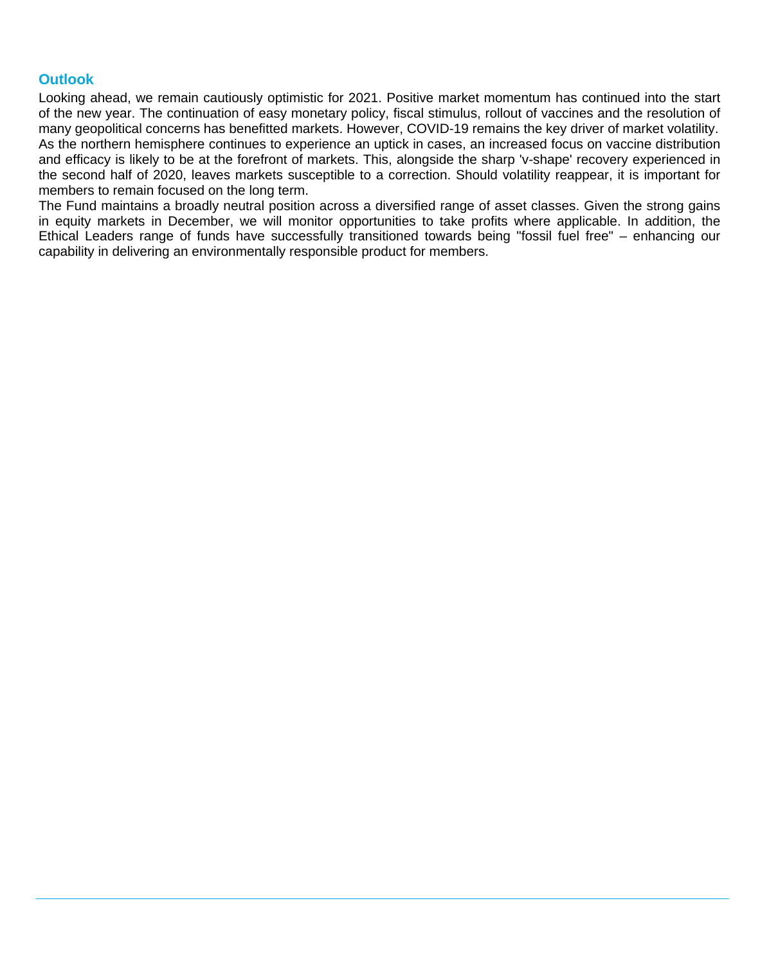## **Outlook**

Looking ahead, we remain cautiously optimistic for 2021. Positive market momentum has continued into the start of the new year. The continuation of easy monetary policy, fiscal stimulus, rollout of vaccines and the resolution of many geopolitical concerns has benefitted markets. However, COVID-19 remains the key driver of market volatility. As the northern hemisphere continues to experience an uptick in cases, an increased focus on vaccine distribution and efficacy is likely to be at the forefront of markets. This, alongside the sharp 'v-shape' recovery experienced in the second half of 2020, leaves markets susceptible to a correction. Should volatility reappear, it is important for members to remain focused on the long term.

The Fund maintains a broadly neutral position across a diversified range of asset classes. Given the strong gains in equity markets in December, we will monitor opportunities to take profits where applicable. In addition, the Ethical Leaders range of funds have successfully transitioned towards being "fossil fuel free" – enhancing our capability in delivering an environmentally responsible product for members.